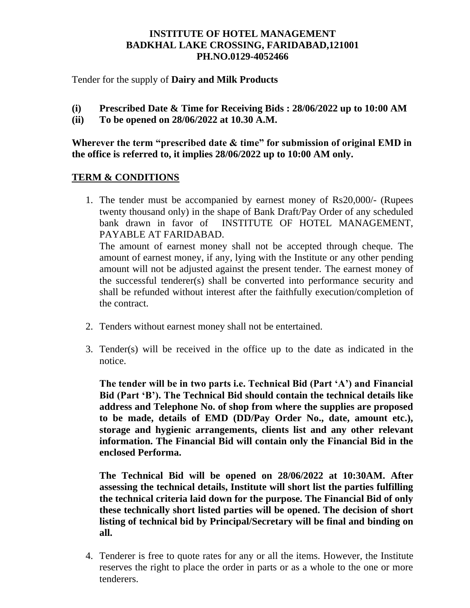# **INSTITUTE OF HOTEL MANAGEMENT BADKHAL LAKE CROSSING, FARIDABAD,121001 PH.NO.0129-4052466**

Tender for the supply of **Dairy and Milk Products**

- **(i) Prescribed Date & Time for Receiving Bids : 28/06/2022 up to 10:00 AM**
- **(ii) To be opened on 28/06/2022 at 10.30 A.M.**

**Wherever the term "prescribed date & time" for submission of original EMD in the office is referred to, it implies 28/06/2022 up to 10:00 AM only.**

## **TERM & CONDITIONS**

1. The tender must be accompanied by earnest money of Rs20,000/- (Rupees twenty thousand only) in the shape of Bank Draft/Pay Order of any scheduled bank drawn in favor of INSTITUTE OF HOTEL MANAGEMENT, PAYABLE AT FARIDABAD.

The amount of earnest money shall not be accepted through cheque. The amount of earnest money, if any, lying with the Institute or any other pending amount will not be adjusted against the present tender. The earnest money of the successful tenderer(s) shall be converted into performance security and shall be refunded without interest after the faithfully execution/completion of the contract.

- 2. Tenders without earnest money shall not be entertained.
- 3. Tender(s) will be received in the office up to the date as indicated in the notice.

**The tender will be in two parts i.e. Technical Bid (Part 'A') and Financial Bid (Part 'B'). The Technical Bid should contain the technical details like address and Telephone No. of shop from where the supplies are proposed to be made, details of EMD (DD/Pay Order No., date, amount etc.), storage and hygienic arrangements, clients list and any other relevant information. The Financial Bid will contain only the Financial Bid in the enclosed Performa.** 

**The Technical Bid will be opened on 28/06/2022 at 10:30AM. After assessing the technical details, Institute will short list the parties fulfilling the technical criteria laid down for the purpose. The Financial Bid of only these technically short listed parties will be opened. The decision of short listing of technical bid by Principal/Secretary will be final and binding on all.** 

4. Tenderer is free to quote rates for any or all the items. However, the Institute reserves the right to place the order in parts or as a whole to the one or more tenderers.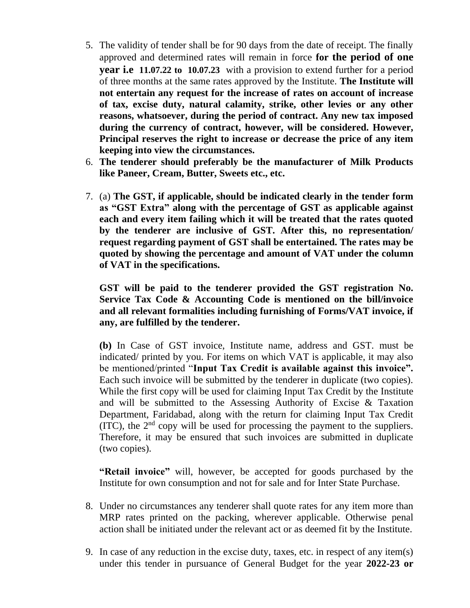- 5. The validity of tender shall be for 90 days from the date of receipt. The finally approved and determined rates will remain in force **for the period of one year i.e 11.07.22 to 10.07.23** with a provision to extend further for a period of three months at the same rates approved by the Institute. **The Institute will not entertain any request for the increase of rates on account of increase of tax, excise duty, natural calamity, strike, other levies or any other reasons, whatsoever, during the period of contract. Any new tax imposed during the currency of contract, however, will be considered. However, Principal reserves the right to increase or decrease the price of any item keeping into view the circumstances.**
- 6. **The tenderer should preferably be the manufacturer of Milk Products like Paneer, Cream, Butter, Sweets etc., etc.**
- 7. (a) **The GST, if applicable, should be indicated clearly in the tender form as "GST Extra" along with the percentage of GST as applicable against each and every item failing which it will be treated that the rates quoted by the tenderer are inclusive of GST. After this, no representation/ request regarding payment of GST shall be entertained. The rates may be quoted by showing the percentage and amount of VAT under the column of VAT in the specifications.**

**GST will be paid to the tenderer provided the GST registration No. Service Tax Code & Accounting Code is mentioned on the bill/invoice and all relevant formalities including furnishing of Forms/VAT invoice, if any, are fulfilled by the tenderer.**

**(b)** In Case of GST invoice, Institute name, address and GST. must be indicated/ printed by you. For items on which VAT is applicable, it may also be mentioned/printed "**Input Tax Credit is available against this invoice".**  Each such invoice will be submitted by the tenderer in duplicate (two copies). While the first copy will be used for claiming Input Tax Credit by the Institute and will be submitted to the Assessing Authority of Excise & Taxation Department, Faridabad, along with the return for claiming Input Tax Credit  $(TTC)$ , the  $2<sup>nd</sup>$  copy will be used for processing the payment to the suppliers. Therefore, it may be ensured that such invoices are submitted in duplicate (two copies).

**"Retail invoice"** will, however, be accepted for goods purchased by the Institute for own consumption and not for sale and for Inter State Purchase.

- 8. Under no circumstances any tenderer shall quote rates for any item more than MRP rates printed on the packing, wherever applicable. Otherwise penal action shall be initiated under the relevant act or as deemed fit by the Institute.
- 9. In case of any reduction in the excise duty, taxes, etc. in respect of any item(s) under this tender in pursuance of General Budget for the year **2022-23 or**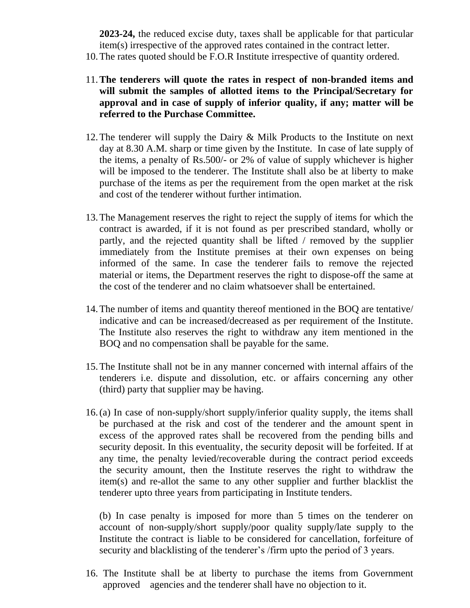**2023-24,** the reduced excise duty, taxes shall be applicable for that particular item(s) irrespective of the approved rates contained in the contract letter.

- 10.The rates quoted should be F.O.R Institute irrespective of quantity ordered.
- 11.**The tenderers will quote the rates in respect of non-branded items and will submit the samples of allotted items to the Principal/Secretary for approval and in case of supply of inferior quality, if any; matter will be referred to the Purchase Committee.**
- 12.The tenderer will supply the Dairy & Milk Products to the Institute on next day at 8.30 A.M. sharp or time given by the Institute. In case of late supply of the items, a penalty of Rs.500/- or 2% of value of supply whichever is higher will be imposed to the tenderer. The Institute shall also be at liberty to make purchase of the items as per the requirement from the open market at the risk and cost of the tenderer without further intimation.
- 13.The Management reserves the right to reject the supply of items for which the contract is awarded, if it is not found as per prescribed standard, wholly or partly, and the rejected quantity shall be lifted / removed by the supplier immediately from the Institute premises at their own expenses on being informed of the same. In case the tenderer fails to remove the rejected material or items, the Department reserves the right to dispose-off the same at the cost of the tenderer and no claim whatsoever shall be entertained.
- 14.The number of items and quantity thereof mentioned in the BOQ are tentative/ indicative and can be increased/decreased as per requirement of the Institute. The Institute also reserves the right to withdraw any item mentioned in the BOQ and no compensation shall be payable for the same.
- 15.The Institute shall not be in any manner concerned with internal affairs of the tenderers i.e. dispute and dissolution, etc. or affairs concerning any other (third) party that supplier may be having.
- 16.(a) In case of non-supply/short supply/inferior quality supply, the items shall be purchased at the risk and cost of the tenderer and the amount spent in excess of the approved rates shall be recovered from the pending bills and security deposit. In this eventuality, the security deposit will be forfeited. If at any time, the penalty levied/recoverable during the contract period exceeds the security amount, then the Institute reserves the right to withdraw the item(s) and re-allot the same to any other supplier and further blacklist the tenderer upto three years from participating in Institute tenders.

(b) In case penalty is imposed for more than 5 times on the tenderer on account of non-supply/short supply/poor quality supply/late supply to the Institute the contract is liable to be considered for cancellation, forfeiture of security and blacklisting of the tenderer's /firm upto the period of 3 years.

16. The Institute shall be at liberty to purchase the items from Government approved agencies and the tenderer shall have no objection to it.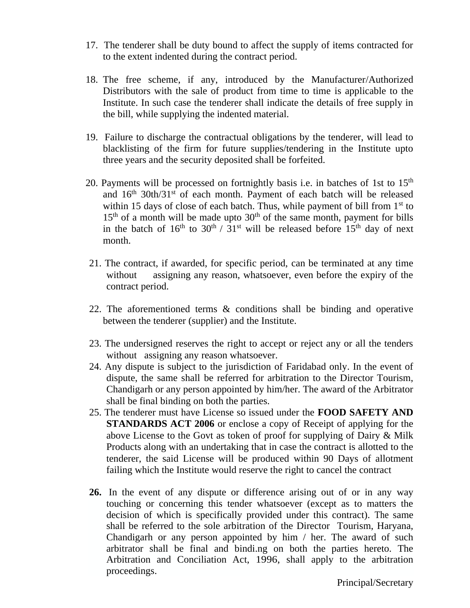- 17. The tenderer shall be duty bound to affect the supply of items contracted for to the extent indented during the contract period.
- 18. The free scheme, if any, introduced by the Manufacturer/Authorized Distributors with the sale of product from time to time is applicable to the Institute. In such case the tenderer shall indicate the details of free supply in the bill, while supplying the indented material.
- 19. Failure to discharge the contractual obligations by the tenderer, will lead to blacklisting of the firm for future supplies/tendering in the Institute upto three years and the security deposited shall be forfeited.
- 20. Payments will be processed on fortnightly basis i.e. in batches of 1st to  $15<sup>th</sup>$ and  $16<sup>th</sup>$  30th/31<sup>st</sup> of each month. Payment of each batch will be released within 15 days of close of each batch. Thus, while payment of bill from  $1<sup>st</sup>$  to  $15<sup>th</sup>$  of a month will be made upto  $30<sup>th</sup>$  of the same month, payment for bills in the batch of  $16<sup>th</sup>$  to  $30<sup>th</sup>$  /  $31<sup>st</sup>$  will be released before  $15<sup>th</sup>$  day of next month.
- 21. The contract, if awarded, for specific period, can be terminated at any time without assigning any reason, whatsoever, even before the expiry of the contract period.
- 22. The aforementioned terms & conditions shall be binding and operative between the tenderer (supplier) and the Institute.
- 23. The undersigned reserves the right to accept or reject any or all the tenders without assigning any reason whatsoever.
- 24. Any dispute is subject to the jurisdiction of Faridabad only. In the event of dispute, the same shall be referred for arbitration to the Director Tourism, Chandigarh or any person appointed by him/her. The award of the Arbitrator shall be final binding on both the parties.
- 25. The tenderer must have License so issued under the **FOOD SAFETY AND STANDARDS ACT 2006** or enclose a copy of Receipt of applying for the above License to the Govt as token of proof for supplying of Dairy & Milk Products along with an undertaking that in case the contract is allotted to the tenderer, the said License will be produced within 90 Days of allotment failing which the Institute would reserve the right to cancel the contract
- **26.** In the event of any dispute or difference arising out of or in any way touching or concerning this tender whatsoever (except as to matters the decision of which is specifically provided under this contract). The same shall be referred to the sole arbitration of the Director Tourism, Haryana, Chandigarh or any person appointed by him / her. The award of such arbitrator shall be final and bindi.ng on both the parties hereto. The Arbitration and Conciliation Act, 1996, shall apply to the arbitration proceedings.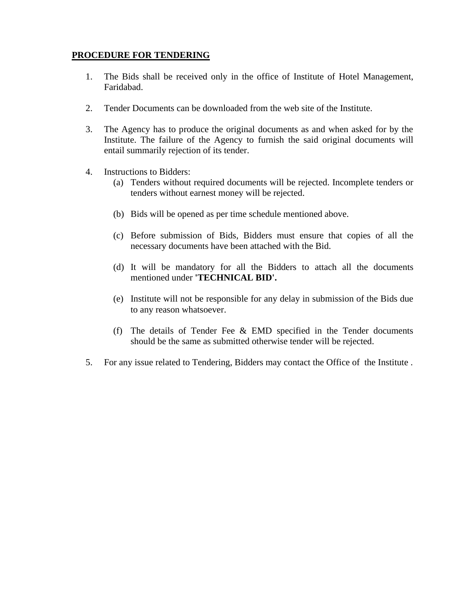## **PROCEDURE FOR TENDERING**

- 1. The Bids shall be received only in the office of Institute of Hotel Management, Faridabad.
- 2. Tender Documents can be downloaded from the web site of the Institute.
- 3. The Agency has to produce the original documents as and when asked for by the Institute. The failure of the Agency to furnish the said original documents will entail summarily rejection of its tender.
- 4. Instructions to Bidders:
	- (a) Tenders without required documents will be rejected. Incomplete tenders or tenders without earnest money will be rejected.
	- (b) Bids will be opened as per time schedule mentioned above.
	- (c) Before submission of Bids, Bidders must ensure that copies of all the necessary documents have been attached with the Bid.
	- (d) It will be mandatory for all the Bidders to attach all the documents mentioned under **'TECHNICAL BID'.**
	- (e) Institute will not be responsible for any delay in submission of the Bids due to any reason whatsoever.
	- (f) The details of Tender Fee & EMD specified in the Tender documents should be the same as submitted otherwise tender will be rejected.
- 5. For any issue related to Tendering, Bidders may contact the Office of the Institute .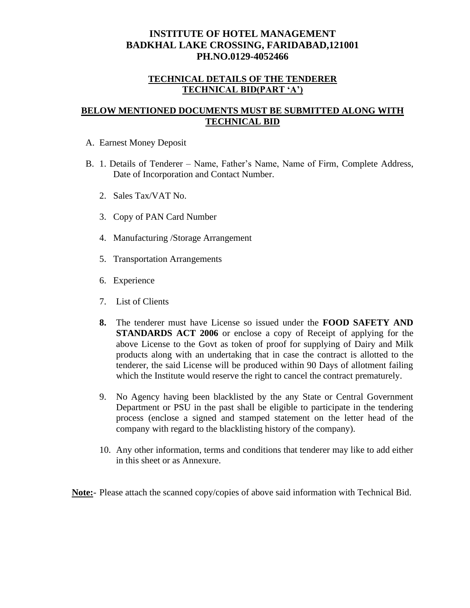# **INSTITUTE OF HOTEL MANAGEMENT BADKHAL LAKE CROSSING, FARIDABAD,121001 PH.NO.0129-4052466**

#### **TECHNICAL DETAILS OF THE TENDERER TECHNICAL BID(PART 'A')**

#### **BELOW MENTIONED DOCUMENTS MUST BE SUBMITTED ALONG WITH TECHNICAL BID**

- A. Earnest Money Deposit
- B. 1. Details of Tenderer Name, Father's Name, Name of Firm, Complete Address, Date of Incorporation and Contact Number.
	- 2. Sales Tax/VAT No.
	- 3. Copy of PAN Card Number
	- 4. Manufacturing /Storage Arrangement
	- 5. Transportation Arrangements
	- 6. Experience
	- 7. List of Clients
	- **8.** The tenderer must have License so issued under the **FOOD SAFETY AND STANDARDS ACT 2006** or enclose a copy of Receipt of applying for the above License to the Govt as token of proof for supplying of Dairy and Milk products along with an undertaking that in case the contract is allotted to the tenderer, the said License will be produced within 90 Days of allotment failing which the Institute would reserve the right to cancel the contract prematurely.
	- 9. No Agency having been blacklisted by the any State or Central Government Department or PSU in the past shall be eligible to participate in the tendering process (enclose a signed and stamped statement on the letter head of the company with regard to the blacklisting history of the company).
	- 10. Any other information, terms and conditions that tenderer may like to add either in this sheet or as Annexure.

**Note:**- Please attach the scanned copy/copies of above said information with Technical Bid.